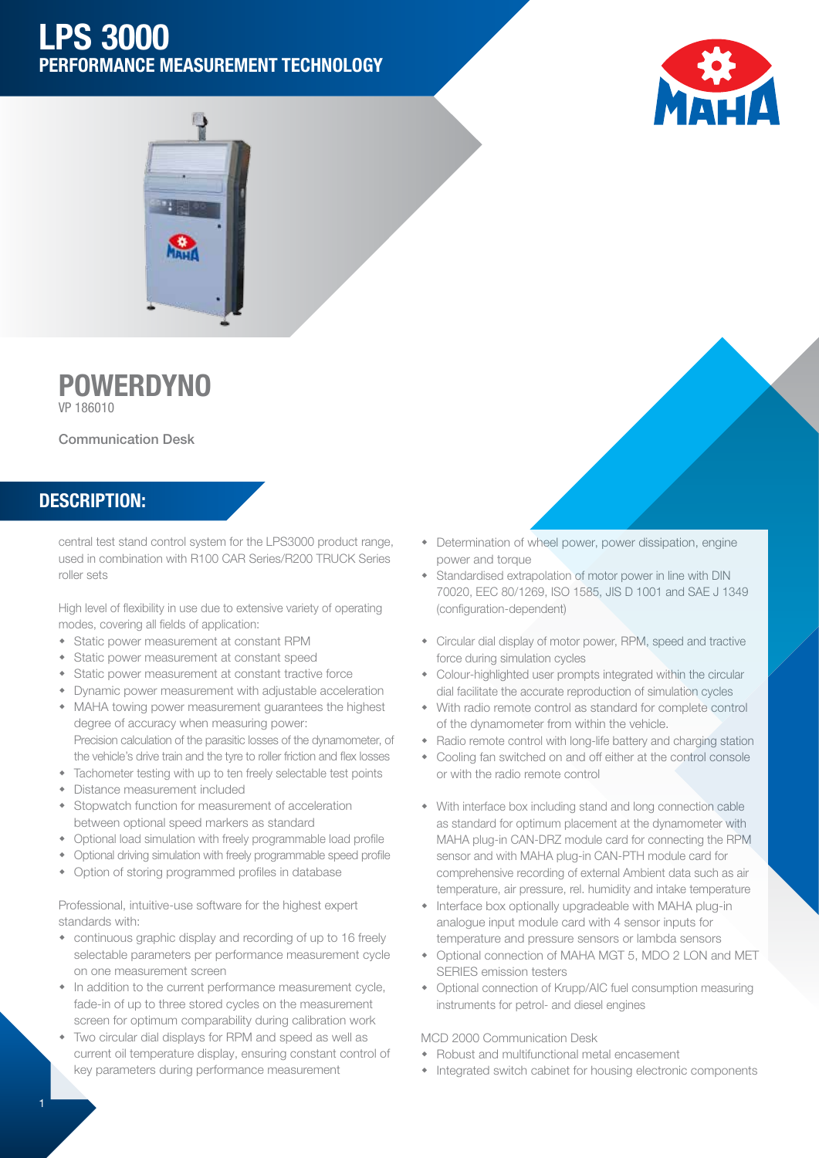## LPS 3000 PERFORMANCE MEASUREMENT TECHNOLOGY





# **POWERDYNO**

VP 186010

#### Communication Desk

### DESCRIPTION:

central test stand control system for the LPS3000 product range, used in combination with R100 CAR Series/R200 TRUCK Series roller sets

High level of flexibility in use due to extensive variety of operating modes, covering all fields of application:

- Static power measurement at constant RPM
- Static power measurement at constant speed
- Static power measurement at constant tractive force
- Dynamic power measurement with adjustable acceleration
- MAHA towing power measurement quarantees the highest degree of accuracy when measuring power: Precision calculation of the parasitic losses of the dynamometer, of the vehicle's drive train and the tyre to roller friction and flex losses
- Tachometer testing with up to ten freely selectable test points
- Distance measurement included
- Stopwatch function for measurement of acceleration between optional speed markers as standard
- Optional load simulation with freely programmable load profile
- Optional driving simulation with freely programmable speed profile
- Option of storing programmed profiles in database

Professional, intuitive-use software for the highest expert standards with:

- continuous graphic display and recording of up to 16 freely selectable parameters per performance measurement cycle on one measurement screen
- $\bullet$  In addition to the current performance measurement cycle, fade-in of up to three stored cycles on the measurement screen for optimum comparability during calibration work
- Two circular dial displays for RPM and speed as well as current oil temperature display, ensuring constant control of key parameters during performance measurement
- Determination of wheel power, power dissipation, engine power and torque
- Standardised extrapolation of motor power in line with DIN 70020, EEC 80/1269, ISO 1585, JIS D 1001 and SAE J 1349 (configuration-dependent)
- Circular dial display of motor power, RPM, speed and tractive force during simulation cycles
- Colour-highlighted user prompts integrated within the circular dial facilitate the accurate reproduction of simulation cycles
- With radio remote control as standard for complete control of the dynamometer from within the vehicle.
- Radio remote control with long-life battery and charging station
- Cooling fan switched on and off either at the control console or with the radio remote control
- With interface box including stand and long connection cable as standard for optimum placement at the dynamometer with MAHA plug-in CAN-DRZ module card for connecting the RPM sensor and with MAHA plug-in CAN-PTH module card for comprehensive recording of external Ambient data such as air temperature, air pressure, rel. humidity and intake temperature
- Interface box optionally upgradeable with MAHA plug-in analogue input module card with 4 sensor inputs for temperature and pressure sensors or lambda sensors
- Optional connection of MAHA MGT 5, MDO 2 LON and MET SERIES emission testers
- Optional connection of Krupp/AIC fuel consumption measuring instruments for petrol- and diesel engines

#### MCD 2000 Communication Desk

- Robust and multifunctional metal encasement
- Integrated switch cabinet for housing electronic components